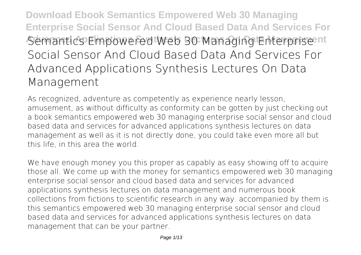**Download Ebook Semantics Empowered Web 30 Managing Enterprise Social Sensor And Cloud Based Data And Services For Advanced Books Applications Semantics Contains Containing Enterprise Priori Semantics Empowered Web 30 Managing Enterprise Prior Social Sensor And Cloud Based Data And Services For Advanced Applications Synthesis Lectures On Data Management**

As recognized, adventure as competently as experience nearly lesson, amusement, as without difficulty as conformity can be gotten by just checking out a book **semantics empowered web 30 managing enterprise social sensor and cloud based data and services for advanced applications synthesis lectures on data management** as well as it is not directly done, you could take even more all but this life, in this area the world.

We have enough money you this proper as capably as easy showing off to acquire those all. We come up with the money for semantics empowered web 30 managing enterprise social sensor and cloud based data and services for advanced applications synthesis lectures on data management and numerous book collections from fictions to scientific research in any way. accompanied by them is this semantics empowered web 30 managing enterprise social sensor and cloud based data and services for advanced applications synthesis lectures on data management that can be your partner.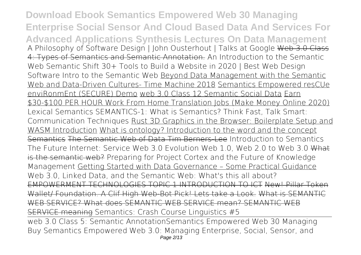**Download Ebook Semantics Empowered Web 30 Managing Enterprise Social Sensor And Cloud Based Data And Services For Advanced Applications Synthesis Lectures On Data Management A Philosophy of Software Design | John Ousterhout | Talks at Google** Web 3.0 Class 4: Types of Semantics and Semantic Annotation. **An Introduction to the Semantic Web Semantic Shift 30+ Tools to Build a Website in 2020 | Best Web Design Software** *Intro to the Semantic Web* Beyond Data Management with the Semantic Web and Data-Driven Cultures- Time Machine 2018 Semantics Empowered resCUe enviRonmEnt (SECURE) Demo web 3.0 Class 12 Semantic Social Data Earn \$30-\$100 PER HOUR Work From Home Translation Jobs (Make Money Online 2020) **Lexical Semantics** SEMANTICS-1: What is Semantics? *Think Fast, Talk Smart: Communication Techniques* Rust 3D Graphics in the Browser: Boilerplate Setup and WASM Introduction What is ontology? Introduction to the word and the concept Semantics The Semantic Web of Data Tim Berners-Lee *Introduction to Semantics* **The Future Internet: Service Web 3.0** Evolution Web 1.0, Web 2.0 to Web 3.0 What is the semantic web? Preparing for Project Cortex and the Future of Knowledge Management Getting Started with Data Governance – Some Practical Guidance *Web 3.0, Linked Data, and the Semantic Web: What's this all about?* EMPOWERMENT TECHNOLOGIES TOPIC 1 INTRODUCTION TO ICT New! Pillar Token Wallet/ Foundation. A Clif High Web-Bot Pick! Lets take a Look. What is SEMANTIC WEB SERVICE? What does SEMANTIC WEB SERVICE mean? SEMANTIC WEB SERVICE meaning **Semantics: Crash Course Linguistics #5** web 3.0 Class 5: Semantic Annotation**Semantics Empowered Web 30 Managing** Buy Semantics Empowered Web 3.0: Managing Enterprise, Social, Sensor, and Page 2/13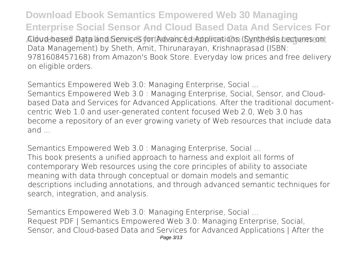**Download Ebook Semantics Empowered Web 30 Managing Enterprise Social Sensor And Cloud Based Data And Services For Advanced Applications Synthesis Lectures On Data Management** Cloud-based Data and Services for Advanced Applications (Synthesis Lectures on Data Management) by Sheth, Amit, Thirunarayan, Krishnaprasad (ISBN: 9781608457168) from Amazon's Book Store. Everyday low prices and free delivery on eligible orders.

**Semantics Empowered Web 3.0: Managing Enterprise, Social ...**

Semantics Empowered Web 3.0 : Managing Enterprise, Social, Sensor, and Cloudbased Data and Services for Advanced Applications. After the traditional documentcentric Web 1.0 and user-generated content focused Web 2.0, Web 3.0 has become a repository of an ever growing variety of Web resources that include data and ...

**Semantics Empowered Web 3.0 : Managing Enterprise, Social ...** This book presents a unified approach to harness and exploit all forms of contemporary Web resources using the core principles of ability to associate meaning with data through conceptual or domain models and semantic descriptions including annotations, and through advanced semantic techniques for search, integration, and analysis.

**Semantics Empowered Web 3.0: Managing Enterprise, Social ...** Request PDF | Semantics Empowered Web 3.0: Managing Enterprise, Social, Sensor, and Cloud-based Data and Services for Advanced Applications | After the Page 3/13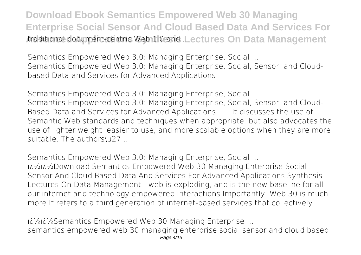**Download Ebook Semantics Empowered Web 30 Managing Enterprise Social Sensor And Cloud Based Data And Services For Advanced Applications Synthesis Lectures On Data Management** traditional document-centric Web 1.0 and ...

**Semantics Empowered Web 3.0: Managing Enterprise, Social ...** Semantics Empowered Web 3.0: Managing Enterprise, Social, Sensor, and Cloudbased Data and Services for Advanced Applications

**Semantics Empowered Web 3.0: Managing Enterprise, Social ...** Semantics Empowered Web 3.0: Managing Enterprise, Social, Sensor, and Cloud-Based Data and Services for Advanced Applications . ... It discusses the use of Semantic Web standards and techniques when appropriate, but also advocates the use of lighter weight, easier to use, and more scalable options when they are more suitable. The authors\u27 ...

**Semantics Empowered Web 3.0: Managing Enterprise, Social ...** ii<sup>1</sup>/<sub>2</sub>ii<sup>1</sup>/2Download Semantics Empowered Web 30 Managing Enterprise Social Sensor And Cloud Based Data And Services For Advanced Applications Synthesis Lectures On Data Management - web is exploding, and is the new baseline for all our internet and technology empowered interactions Importantly, Web 30 is much more It refers to a third generation of internet-based services that collectively ...

 $i\lambda$ <sup>2</sup>  $i\lambda$ Semantics Empowered Web 30 Managing Enterprise ... semantics empowered web 30 managing enterprise social sensor and cloud based Page 4/13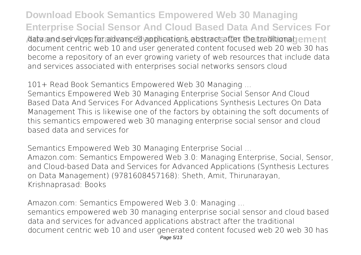**Download Ebook Semantics Empowered Web 30 Managing Enterprise Social Sensor And Cloud Based Data And Services For** data and services for advanced applications abstract after the traditional ement document centric web 10 and user generated content focused web 20 web 30 has become a repository of an ever growing variety of web resources that include data and services associated with enterprises social networks sensors cloud

**101+ Read Book Semantics Empowered Web 30 Managing ...**

Semantics Empowered Web 30 Managing Enterprise Social Sensor And Cloud Based Data And Services For Advanced Applications Synthesis Lectures On Data Management This is likewise one of the factors by obtaining the soft documents of this semantics empowered web 30 managing enterprise social sensor and cloud based data and services for

**Semantics Empowered Web 30 Managing Enterprise Social ...** Amazon.com: Semantics Empowered Web 3.0: Managing Enterprise, Social, Sensor, and Cloud-based Data and Services for Advanced Applications (Synthesis Lectures on Data Management) (9781608457168): Sheth, Amit, Thirunarayan, Krishnaprasad: Books

**Amazon.com: Semantics Empowered Web 3.0: Managing ...**

semantics empowered web 30 managing enterprise social sensor and cloud based data and services for advanced applications abstract after the traditional document centric web 10 and user generated content focused web 20 web 30 has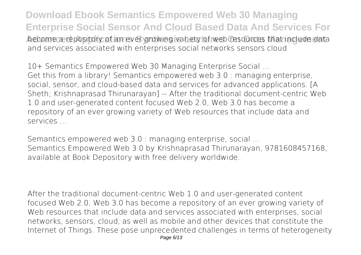**Download Ebook Semantics Empowered Web 30 Managing Enterprise Social Sensor And Cloud Based Data And Services For** become a repository of an ever growing variety of web resources that include data and services associated with enterprises social networks sensors cloud

**10+ Semantics Empowered Web 30 Managing Enterprise Social ...** Get this from a library! Semantics empowered web 3.0 : managing enterprise, social, sensor, and cloud-based data and services for advanced applications. [A Sheth; Krishnaprasad Thirunarayan] -- After the traditional document-centric Web 1.0 and user-generated content focused Web 2.0, Web 3.0 has become a repository of an ever growing variety of Web resources that include data and services ...

**Semantics empowered web 3.0 : managing enterprise, social ...** Semantics Empowered Web 3.0 by Krishnaprasad Thirunarayan, 9781608457168, available at Book Depository with free delivery worldwide.

After the traditional document-centric Web 1.0 and user-generated content focused Web 2.0, Web 3.0 has become a repository of an ever growing variety of Web resources that include data and services associated with enterprises, social networks, sensors, cloud, as well as mobile and other devices that constitute the Internet of Things. These pose unprecedented challenges in terms of heterogeneity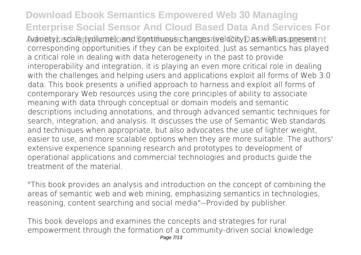## **Download Ebook Semantics Empowered Web 30 Managing Enterprise Social Sensor And Cloud Based Data And Services For**

**Advanced Applications Synthesis Lectures On Data Management** (variety), scale (volume), and continuous changes (velocity), as well as present corresponding opportunities if they can be exploited. Just as semantics has played a critical role in dealing with data heterogeneity in the past to provide interoperability and integration, it is playing an even more critical role in dealing with the challenges and helping users and applications exploit all forms of Web 3.0 data. This book presents a unified approach to harness and exploit all forms of contemporary Web resources using the core principles of ability to associate meaning with data through conceptual or domain models and semantic descriptions including annotations, and through advanced semantic techniques for search, integration, and analysis. It discusses the use of Semantic Web standards and techniques when appropriate, but also advocates the use of lighter weight, easier to use, and more scalable options when they are more suitable. The authors' extensive experience spanning research and prototypes to development of operational applications and commercial technologies and products guide the treatment of the material.

"This book provides an analysis and introduction on the concept of combining the areas of semantic web and web mining, emphasizing semantics in technologies, reasoning, content searching and social media"--Provided by publisher.

This book develops and examines the concepts and strategies for rural empowerment through the formation of a community-driven social knowledge Page 7/13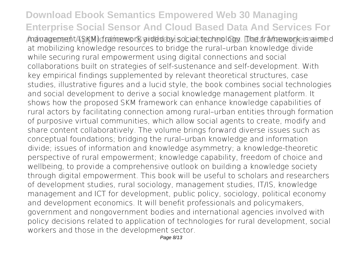## **Download Ebook Semantics Empowered Web 30 Managing Enterprise Social Sensor And Cloud Based Data And Services For**

**Advanced Applications Synthesis Lectures On Data Management** management (SKM) framework aided by social technology. The framework is aimed at mobilizing knowledge resources to bridge the rural–urban knowledge divide while securing rural empowerment using digital connections and social collaborations built on strategies of self-sustenance and self-development. With key empirical findings supplemented by relevant theoretical structures, case studies, illustrative figures and a lucid style, the book combines social technologies and social development to derive a social knowledge management platform. It shows how the proposed SKM framework can enhance knowledge capabilities of rural actors by facilitating connection among rural–urban entities through formation of purposive virtual communities, which allow social agents to create, modify and share content collaboratively. The volume brings forward diverse issues such as conceptual foundations; bridging the rural–urban knowledge and information divide; issues of information and knowledge asymmetry; a knowledge-theoretic perspective of rural empowerment; knowledge capability, freedom of choice and wellbeing, to provide a comprehensive outlook on building a knowledge society through digital empowerment. This book will be useful to scholars and researchers of development studies, rural sociology, management studies, IT/IS, knowledge management and ICT for development, public policy, sociology, political economy and development economics. It will benefit professionals and policymakers, government and nongovernment bodies and international agencies involved with policy decisions related to application of technologies for rural development, social workers and those in the development sector.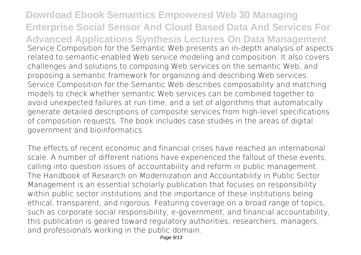**Download Ebook Semantics Empowered Web 30 Managing Enterprise Social Sensor And Cloud Based Data And Services For Advanced Applications Synthesis Lectures On Data Management** Service Composition for the Semantic Web presents an in-depth analysis of aspects related to semantic-enabled Web service modeling and composition. It also covers challenges and solutions to composing Web services on the semantic Web, and proposing a semantic framework for organizing and describing Web services. Service Composition for the Semantic Web describes composability and matching models to check whether semantic Web services can be combined together to avoid unexpected failures at run time, and a set of algorithms that automatically generate detailed descriptions of composite services from high-level specifications of composition requests. The book includes case studies in the areas of digital government and bioinformatics.

The effects of recent economic and financial crises have reached an international scale. A number of different nations have experienced the fallout of these events, calling into question issues of accountability and reform in public management. The Handbook of Research on Modernization and Accountability in Public Sector Management is an essential scholarly publication that focuses on responsibility within public sector institutions and the importance of these institutions being ethical, transparent, and rigorous. Featuring coverage on a broad range of topics, such as corporate social responsibility, e-government, and financial accountability, this publication is geared toward regulatory authorities, researchers, managers, and professionals working in the public domain.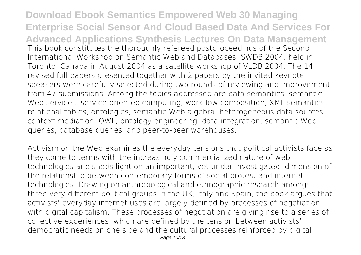**Download Ebook Semantics Empowered Web 30 Managing Enterprise Social Sensor And Cloud Based Data And Services For Advanced Applications Synthesis Lectures On Data Management** This book constitutes the thoroughly refereed postproceedings of the Second International Workshop on Semantic Web and Databases, SWDB 2004, held in Toronto, Canada in August 2004 as a satellite workshop of VLDB 2004. The 14 revised full papers presented together with 2 papers by the invited keynote speakers were carefully selected during two rounds of reviewing and improvement from 47 submissions. Among the topics addressed are data semantics, semantic Web services, service-oriented computing, workflow composition, XML semantics, relational tables, ontologies, semantic Web algebra, heterogeneous data sources, context mediation, OWL, ontology engineering, data integration, semantic Web queries, database queries, and peer-to-peer warehouses.

Activism on the Web examines the everyday tensions that political activists face as they come to terms with the increasingly commercialized nature of web technologies and sheds light on an important, yet under-investigated, dimension of the relationship between contemporary forms of social protest and internet technologies. Drawing on anthropological and ethnographic research amongst three very different political groups in the UK, Italy and Spain, the book argues that activists' everyday internet uses are largely defined by processes of negotiation with digital capitalism. These processes of negotiation are giving rise to a series of collective experiences, which are defined by the tension between activists' democratic needs on one side and the cultural processes reinforced by digital Page 10/13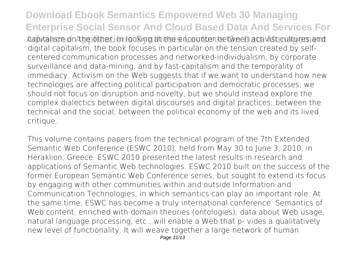**Download Ebook Semantics Empowered Web 30 Managing Enterprise Social Sensor And Cloud Based Data And Services For** capitalism on the other. In looking at the encounter between activist cultures and digital capitalism, the book focuses in particular on the tension created by selfcentered communication processes and networked-individualism, by corporate surveillance and data-mining, and by fast-capitalism and the temporality of immediacy. Activism on the Web suggests that if we want to understand how new technologies are affecting political participation and democratic processes, we should not focus on disruption and novelty, but we should instead explore the complex dialectics between digital discourses and digital practices; between the technical and the social; between the political economy of the web and its lived critique.

This volume contains papers from the technical program of the 7th Extended Semantic Web Conference (ESWC 2010), held from May 30 to June 3, 2010, in Heraklion, Greece. ESWC 2010 presented the latest results in research and applications of Semantic Web technologies. ESWC 2010 built on the success of the former European Semantic Web Conference series, but sought to extend its focus by engaging with other communities within and outside Information and Communication Technologies, in which semantics can play an important role. At the same time, ESWC has become a truly international conference. Semantics of Web content, enriched with domain theories (ontologies), data about Web usage, natural language processing, etc., will enable a Web that p- vides a qualitatively new level of functionality. It will weave together a large network of human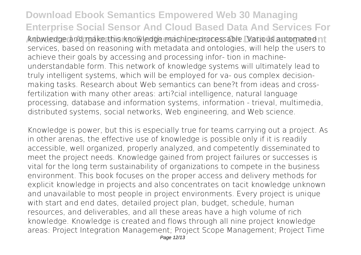**Download Ebook Semantics Empowered Web 30 Managing Enterprise Social Sensor And Cloud Based Data And Services For Advanced Applications Synthesis Lectures On Data Management** knowledge and make this knowledge machine-processable. Various automated services, based on reasoning with metadata and ontologies, will help the users to achieve their goals by accessing and processing infor- tion in machineunderstandable form. This network of knowledge systems will ultimately lead to truly intelligent systems, which will be employed for va- ous complex decisionmaking tasks. Research about Web semantics can bene?t from ideas and crossfertilization with many other areas: arti?cial intelligence, natural language processing, database and information systems, information - trieval, multimedia, distributed systems, social networks, Web engineering, and Web science.

Knowledge is power, but this is especially true for teams carrying out a project. As in other arenas, the effective use of knowledge is possible only if it is readily accessible, well organized, properly analyzed, and competently disseminated to meet the project needs. Knowledge gained from project failures or successes is vital for the long term sustainability of organizations to compete in the business environment. This book focuses on the proper access and delivery methods for explicit knowledge in projects and also concentrates on tacit knowledge unknown and unavailable to most people in project environments. Every project is unique with start and end dates, detailed project plan, budget, schedule, human resources, and deliverables, and all these areas have a high volume of rich knowledge. Knowledge is created and flows through all nine project knowledge areas: Project Integration Management; Project Scope Management; Project Time Page 12/13